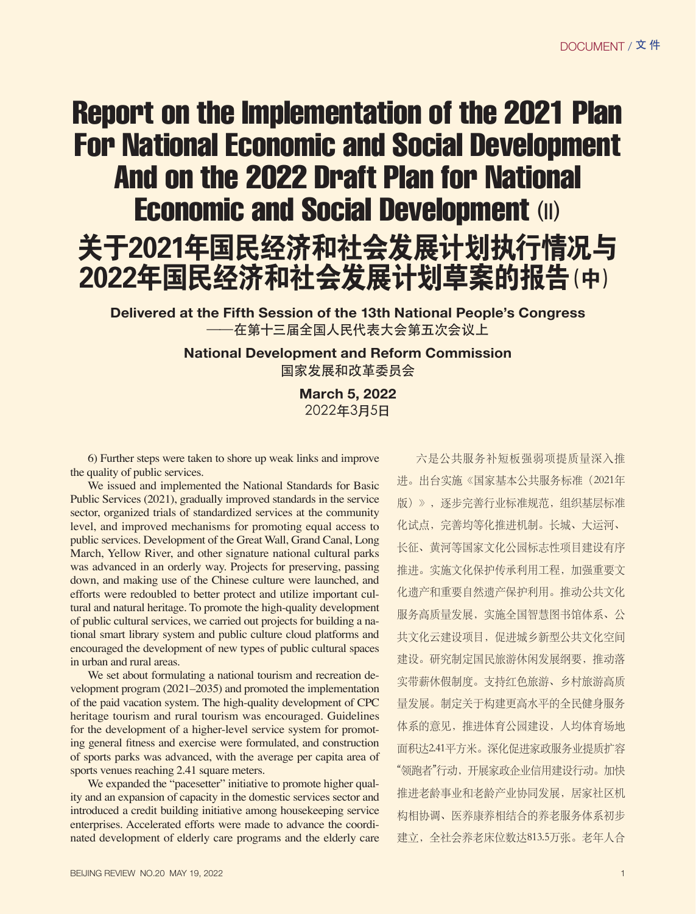## Report on the Implementation of the 2021 Plan For National Economic and Social Development And on the 2022 Draft Plan for National **Economic and Social Development (II)**



**Delivered at the Fifth Session of the 13th National People's Congress** 在第十三届全国人民代表大会第五次会议上

> **National Development and Reform Commission** 国家发展和改革委员会

> > **March 5, 2022**  2022年3月5日

6) Further steps were taken to shore up weak links and improve the quality of public services.

We issued and implemented the National Standards for Basic Public Services (2021), gradually improved standards in the service sector, organized trials of standardized services at the community level, and improved mechanisms for promoting equal access to public services. Development of the Great Wall, Grand Canal, Long March, Yellow River, and other signature national cultural parks was advanced in an orderly way. Projects for preserving, passing down, and making use of the Chinese culture were launched, and efforts were redoubled to better protect and utilize important cultural and natural heritage. To promote the high-quality development of public cultural services, we carried out projects for building a national smart library system and public culture cloud platforms and encouraged the development of new types of public cultural spaces in urban and rural areas.

We set about formulating a national tourism and recreation development program (2021–2035) and promoted the implementation of the paid vacation system. The high-quality development of CPC heritage tourism and rural tourism was encouraged. Guidelines for the development of a higher-level service system for promoting general fitness and exercise were formulated, and construction of sports parks was advanced, with the average per capita area of sports venues reaching 2.41 square meters.

We expanded the "pacesetter" initiative to promote higher quality and an expansion of capacity in the domestic services sector and introduced a credit building initiative among housekeeping service enterprises. Accelerated efforts were made to advance the coordinated development of elderly care programs and the elderly care

BEIJING REVIEW NO.20 MAY 19, 2022 19 19 19:00 19:00 19:00 19:00 19:00 19:00 19:00 19:00 19:00 19:00 19:00 19:00 19:00 19:00 19:00 19:00 19:00 19:00 19:00 19:00 19:00 19:00 19:00 19:00 19:00 19:00 19:00 19:00 19:00 19:00 19

六是公共服务补短板强弱项提质量深入推 进。出台实施《国家基本公共服务标准(2021年 版)》,逐步完善行业标准规范,组织基层标准 化试点,完善均等化推进机制。长城、大运河、 长征、黄河等国家文化公园标志性项目建设有序 推进。实施文化保护传承利用工程,加强重要文 化遗产和重要自然遗产保护利用。推动公共文化 服务高质量发展,实施全国智慧图书馆体系、公 共文化云建设项目,促进城乡新型公共文化空间 建设。研究制定国民旅游休闲发展纲要,推动落 实带薪休假制度。支持红色旅游、乡村旅游高质 量发展。制定关于构建更高水平的全民健身服务 体系的意见,推进体育公园建设,人均体育场地 面积达2.41平方米。深化促进家政服务业提质扩容 "领跑者"行动,开展家政企业信用建设行动。加快 推进老龄事业和老龄产业协同发展,居家社区机 构相协调、医养康养相结合的养老服务体系初步 建立,全社会养老床位数达813.5万张。老年人合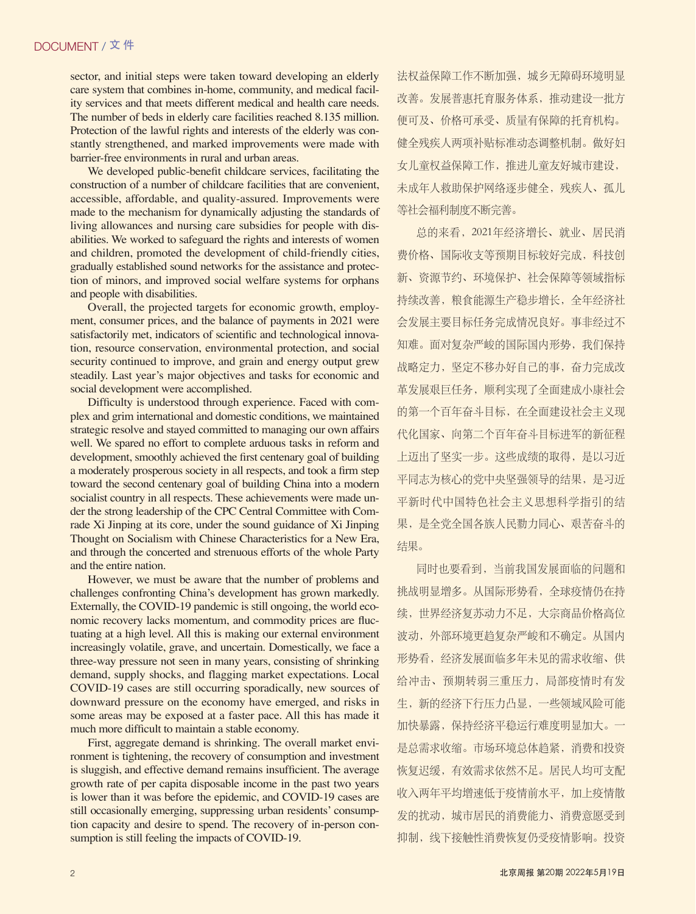sector, and initial steps were taken toward developing an elderly care system that combines in-home, community, and medical facility services and that meets different medical and health care needs. The number of beds in elderly care facilities reached 8.135 million. Protection of the lawful rights and interests of the elderly was constantly strengthened, and marked improvements were made with barrier-free environments in rural and urban areas.

We developed public-benefit childcare services, facilitating the construction of a number of childcare facilities that are convenient, accessible, affordable, and quality-assured. Improvements were made to the mechanism for dynamically adjusting the standards of living allowances and nursing care subsidies for people with disabilities. We worked to safeguard the rights and interests of women and children, promoted the development of child-friendly cities, gradually established sound networks for the assistance and protection of minors, and improved social welfare systems for orphans and people with disabilities.

Overall, the projected targets for economic growth, employment, consumer prices, and the balance of payments in 2021 were satisfactorily met, indicators of scientific and technological innovation, resource conservation, environmental protection, and social security continued to improve, and grain and energy output grew steadily. Last year's major objectives and tasks for economic and social development were accomplished.

Difficulty is understood through experience. Faced with complex and grim international and domestic conditions, we maintained strategic resolve and stayed committed to managing our own affairs well. We spared no effort to complete arduous tasks in reform and development, smoothly achieved the first centenary goal of building a moderately prosperous society in all respects, and took a firm step toward the second centenary goal of building China into a modern socialist country in all respects. These achievements were made under the strong leadership of the CPC Central Committee with Comrade Xi Jinping at its core, under the sound guidance of Xi Jinping Thought on Socialism with Chinese Characteristics for a New Era, and through the concerted and strenuous efforts of the whole Party and the entire nation.

However, we must be aware that the number of problems and challenges confronting China's development has grown markedly. Externally, the COVID-19 pandemic is still ongoing, the world economic recovery lacks momentum, and commodity prices are fluctuating at a high level. All this is making our external environment increasingly volatile, grave, and uncertain. Domestically, we face a three-way pressure not seen in many years, consisting of shrinking demand, supply shocks, and flagging market expectations. Local COVID-19 cases are still occurring sporadically, new sources of downward pressure on the economy have emerged, and risks in some areas may be exposed at a faster pace. All this has made it much more difficult to maintain a stable economy.

First, aggregate demand is shrinking. The overall market environment is tightening, the recovery of consumption and investment is sluggish, and effective demand remains insufficient. The average growth rate of per capita disposable income in the past two years is lower than it was before the epidemic, and COVID-19 cases are still occasionally emerging, suppressing urban residents' consumption capacity and desire to spend. The recovery of in-person consumption is still feeling the impacts of COVID-19.

法权益保障工作不断加强,城乡无障碍环境明显 改善。发展普惠托育服务体系,推动建设一批方 便可及、价格可承受、质量有保障的托育机构。 健全残疾人两项补贴标准动态调整机制。做好妇 女儿童权益保障工作,推进儿童友好城市建设, 未成年人救助保护网络逐步健全,残疾人、孤儿 等社会福利制度不断完善。

总的来看,2021年经济增长、就业、居民消 费价格、国际收支等预期目标较好完成,科技创 新、资源节约、环境保护、社会保障等领域指标 持续改善,粮食能源生产稳步增长,全年经济社 会发展主要目标任务完成情况良好。事非经过不 知难。面对复杂严峻的国际国内形势,我们保持 战略定力,坚定不移办好自己的事,奋力完成改 革发展艰巨任务,顺利实现了全面建成小康社会 的第一个百年奋斗目标,在全面建设社会主义现 代化国家、向第二个百年奋斗目标进军的新征程 上迈出了坚实一步。这些成绩的取得,是以习近 平同志为核心的党中央坚强领导的结果,是习近 平新时代中国特色社会主义思想科学指引的结 果,是全党全国各族人民勠力同心、艰苦奋斗的 结果。

同时也要看到,当前我国发展面临的问题和 挑战明显增多。从国际形势看,全球疫情仍在持 续,世界经济复苏动力不足,大宗商品价格高位 波动,外部环境更趋复杂严峻和不确定。从国内 形势看,经济发展面临多年未见的需求收缩、供 给冲击、预期转弱三重压力,局部疫情时有发 生,新的经济下行压力凸显,一些领域风险可能 加快暴露,保持经济平稳运行难度明显加大。一 是总需求收缩。市场环境总体趋紧,消费和投资 恢复迟缓,有效需求依然不足。居民人均可支配 收入两年平均增速低于疫情前水平,加上疫情散 发的扰动,城市居民的消费能力、消费意愿受到 抑制,线下接触性消费恢复仍受疫情影响。投资